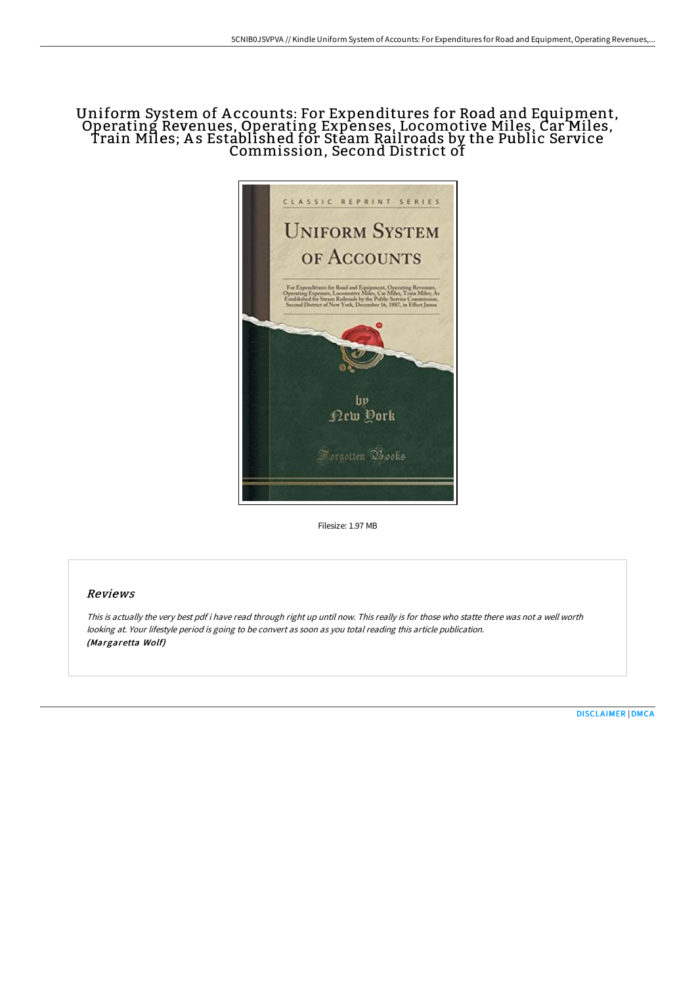# Uniform System of Accounts: For Expenditures for Road and Equipment,<br>Operating Revenues, Operating Expenses, Locomotive Miles, Car Miles, Train Miles; A s Established for Steam Rail roads by the Public Service Commission, Second District of



Filesize: 1.97 MB

## Reviews

This is actually the very best pdf i have read through right up until now. This really is for those who statte there was not <sup>a</sup> well worth looking at. Your lifestyle period is going to be convert as soon as you total reading this article publication. (Margaretta Wolf)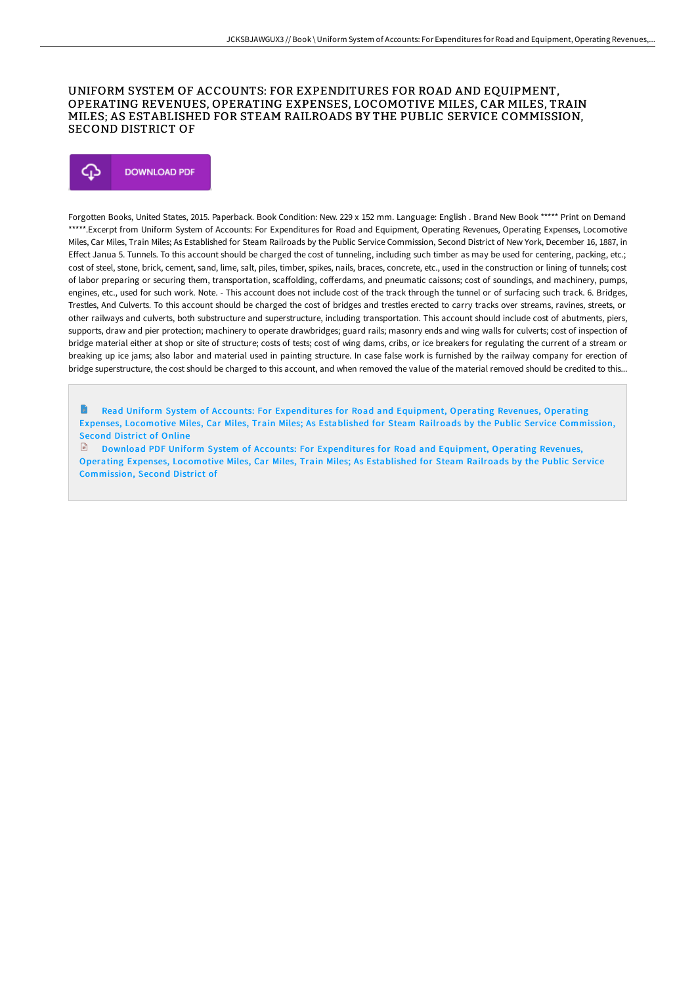### UNIFORM SYSTEM OF ACCOUNTS: FOR EXPENDITURES FOR ROAD AND EQUIPMENT, OPERATING REVENUES, OPERATING EXPENSES, LOCOMOTIVE MILES, CAR MILES, TRAIN MILES; AS ESTABLISHED FOR STEAM RAILROADS BY THE PUBLIC SERVICE COMMISSION, SECOND DISTRICT OF



Forgotten Books, United States, 2015. Paperback. Book Condition: New. 229 x 152 mm. Language: English . Brand New Book \*\*\*\*\* Print on Demand \*\*\*\*\*.Excerpt from Uniform System of Accounts: For Expenditures for Road and Equipment, Operating Revenues, Operating Expenses, Locomotive Miles, Car Miles, Train Miles; As Established for Steam Railroads by the Public Service Commission, Second District of New York, December 16, 1887, in Effect Janua 5. Tunnels. To this account should be charged the cost of tunneling, including such timber as may be used for centering, packing, etc.; cost of steel, stone, brick, cement, sand, lime, salt, piles, timber, spikes, nails, braces, concrete, etc., used in the construction or lining of tunnels; cost of labor preparing or securing them, transportation, scaffolding, cofferdams, and pneumatic caissons; cost of soundings, and machinery, pumps, engines, etc., used for such work. Note. - This account does not include cost of the track through the tunnel or of surfacing such track. 6. Bridges, Trestles, And Culverts. To this account should be charged the cost of bridges and trestles erected to carry tracks over streams, ravines, streets, or other railways and culverts, both substructure and superstructure, including transportation. This account should include cost of abutments, piers, supports, draw and pier protection; machinery to operate drawbridges; guard rails; masonry ends and wing walls for culverts; cost of inspection of bridge material either at shop or site of structure; costs of tests; cost of wing dams, cribs, or ice breakers for regulating the current of a stream or breaking up ice jams; also labor and material used in painting structure. In case false work is furnished by the railway company for erection of bridge superstructure, the cost should be charged to this account, and when removed the value of the material removed should be credited to this...

Read Uniform System of Accounts: For [Expenditures](http://bookera.tech/uniform-system-of-accounts-for-expenditures-for-.html) for Road and Equipment, Operating Revenues, Operating Expenses, Locomotive Miles, Car Miles, Train Miles; As Established for Steam Railroads by the Public Service Commission, Second District of Online

Download PDF Uniform System of Accounts: For [Expenditures](http://bookera.tech/uniform-system-of-accounts-for-expenditures-for-.html) for Road and Equipment, Operating Revenues, Operating Expenses, Locomotive Miles, Car Miles, Train Miles; As Established for Steam Railroads by the Public Service Commission, Second District of